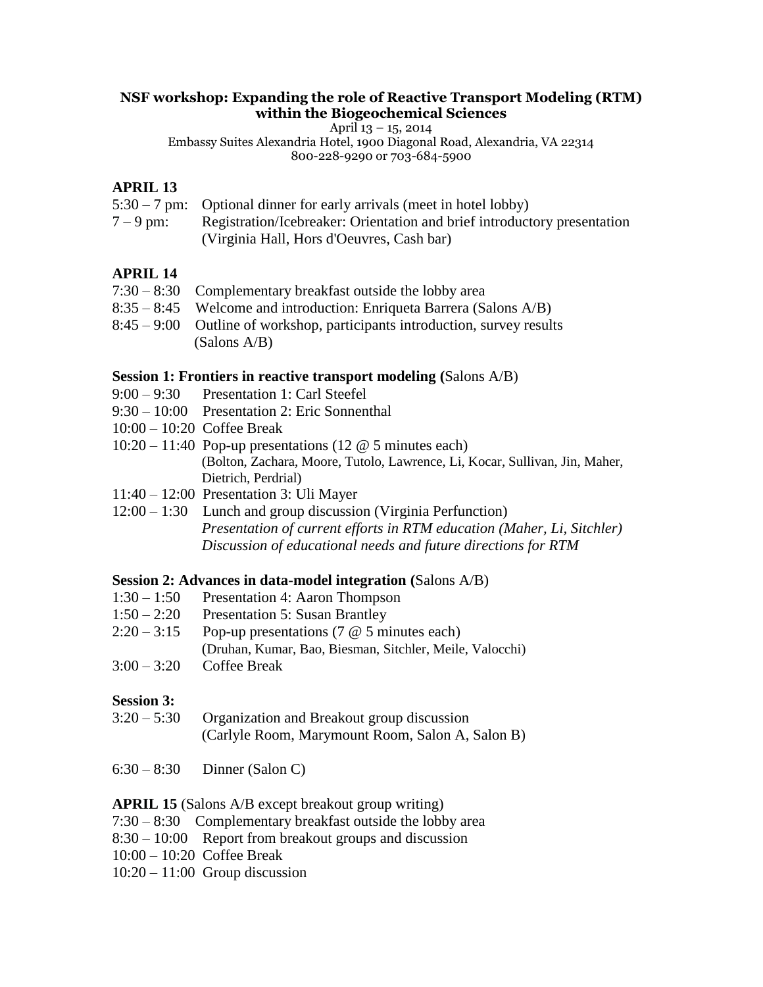#### **NSF workshop: Expanding the role of Reactive Transport Modeling (RTM) within the Biogeochemical Sciences**

April 13 – 15, 2014

Embassy Suites Alexandria Hotel, 1900 Diagonal Road, Alexandria, VA 22314 800-228-9290 or [703-684-5900](callto:703-684-5900)

### **APRIL 13**

- 5:30 7 pm: Optional dinner for early arrivals (meet in hotel lobby)
- 7 9 pm: Registration/Icebreaker: Orientation and brief introductory presentation (Virginia Hall, Hors d'Oeuvres, Cash bar)

## **APRIL 14**

- 7:30 8:30 Complementary breakfast outside the lobby area 8:35 – 8:45 Welcome and introduction: Enriqueta Barrera (Salons A/B) 8:45 – 9:00 Outline of workshop, participants introduction, survey results
	- (Salons A/B)

#### **Session 1: Frontiers in reactive transport modeling (**Salons A/B)

- 9:00 9:30 Presentation 1: Carl Steefel
- 9:30 10:00 Presentation 2: Eric Sonnenthal
- $10:00 10:20$  Coffee Break
- 10:20 11:40 Pop-up presentations (12 @ 5 minutes each) (Bolton, Zachara, Moore, Tutolo, Lawrence, Li, Kocar, Sullivan, Jin, Maher, Dietrich, Perdrial)
- 11:40 12:00 Presentation 3: Uli Mayer
- 12:00 1:30 Lunch and group discussion (Virginia Perfunction) *Presentation of current efforts in RTM education (Maher, Li, Sitchler) Discussion of educational needs and future directions for RTM*

#### **Session 2: Advances in data-model integration (**Salons A/B)

- 1:30 1:50 Presentation 4: Aaron Thompson
- 1:50 2:20 Presentation 5: Susan Brantley
- $2:20 3:15$  Pop-up presentations (7  $\omega$  5 minutes each)
- (Druhan, Kumar, Bao, Biesman, Sitchler, Meile, Valocchi)
- 3:00 3:20 Coffee Break

#### **Session 3:**

- 3:20 5:30 Organization and Breakout group discussion (Carlyle Room, Marymount Room, Salon A, Salon B)
- 6:30 8:30 Dinner (Salon C)

#### **APRIL 15** (Salons A/B except breakout group writing)

- 7:30 8:30 Complementary breakfast outside the lobby area
- 8:30 10:00 Report from breakout groups and discussion
- 10:00 10:20 Coffee Break
- $10:20 11:00$  Group discussion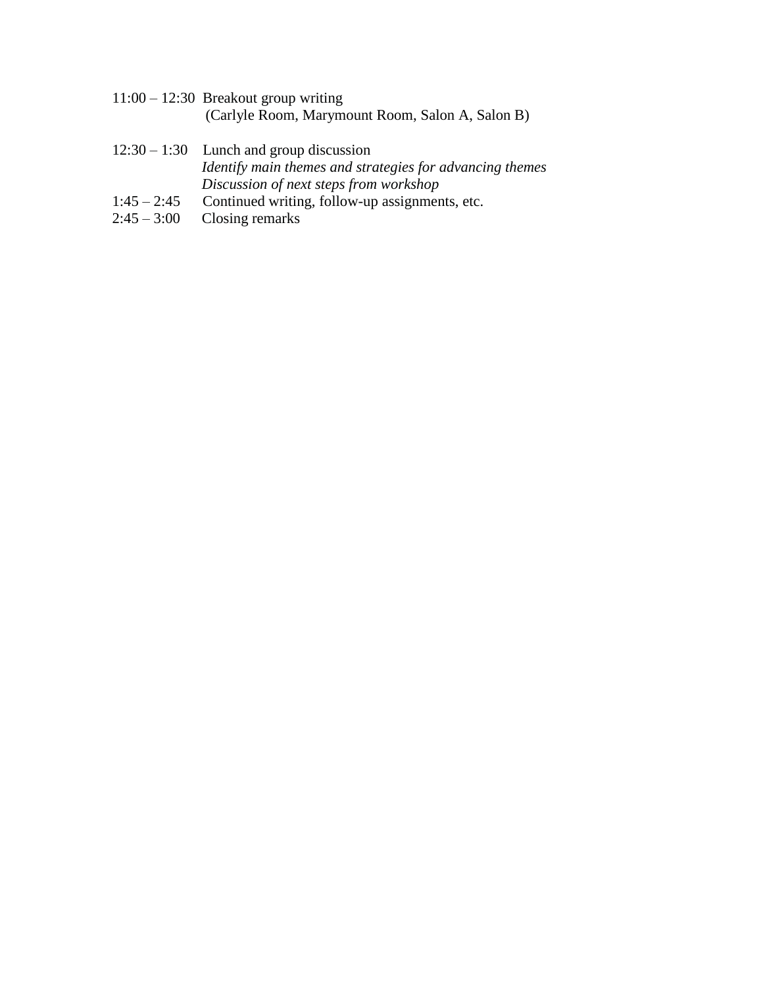11:00 – 12:30 Breakout group writing (Carlyle Room, Marymount Room, Salon A, Salon B)

# 12:30 – 1:30 Lunch and group discussion *Identify main themes and strategies for advancing themes Discussion of next steps from workshop*

- 1:45 2:45 Continued writing, follow-up assignments, etc.<br>2:45 3:00 Closing remarks
- Closing remarks